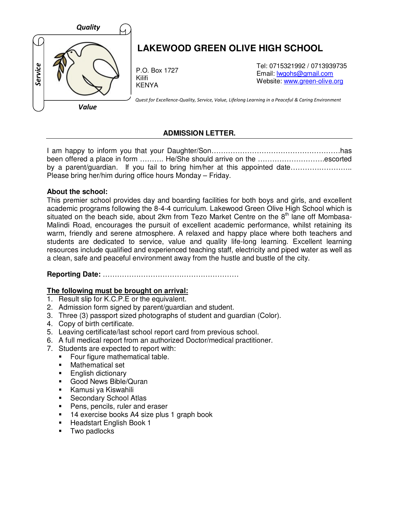

## **ADMISSION LETTER.**

I am happy to inform you that your Daughter/Son………………………………………………has been offered a place in form ………. He/She should arrive on the ……………………….escorted by a parent/guardian. If you fail to bring him/her at this appointed date………………… Please bring her/him during office hours Monday – Friday.

#### **About the school:**

This premier school provides day and boarding facilities for both boys and girls, and excellent academic programs following the 8-4-4 curriculum. Lakewood Green Olive High School which is situated on the beach side, about 2km from Tezo Market Centre on the 8<sup>th</sup> lane off Mombasa-Malindi Road, encourages the pursuit of excellent academic performance, whilst retaining its warm, friendly and serene atmosphere. A relaxed and happy place where both teachers and students are dedicated to service, value and quality life-long learning. Excellent learning resources include qualified and experienced teaching staff, electricity and piped water as well as a clean, safe and peaceful environment away from the hustle and bustle of the city.

# **Reporting Date:** …………………………………………………

## **The following must be brought on arrival:**

- 1. Result slip for K.C.P.E or the equivalent.
- 2. Admission form signed by parent/guardian and student.
- 3. Three (3) passport sized photographs of student and guardian (Color).
- 4. Copy of birth certificate.
- 5. Leaving certificate/last school report card from previous school.
- 6. A full medical report from an authorized Doctor/medical practitioner.
- 7. Students are expected to report with:
	- Four figure mathematical table.
	- Mathematical set
	- **English dictionary**
	- Good News Bible/Quran
	- Kamusi ya Kiswahili
	- **Secondary School Atlas**
	- **Pens, pencils, ruler and eraser**
	- 14 exercise books A4 size plus 1 graph book
	- **Headstart English Book 1**
	- **Two padlocks**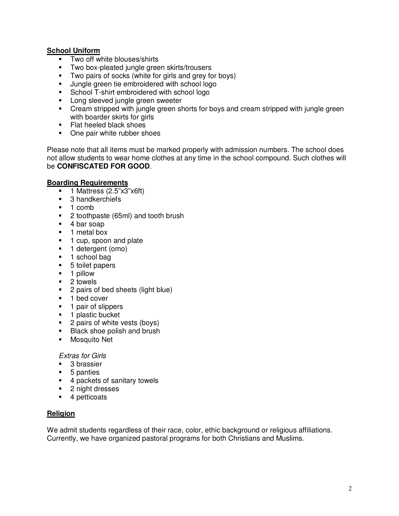## **School Uniform**

- Two off white blouses/shirts
- **Two box-pleated jungle green skirts/trousers**
- Two pairs of socks (white for girls and grey for boys)
- **Jungle green tie embroidered with school logo**
- **School T-shirt embroidered with school logo**
- **Long sleeved jungle green sweeter**
- Cream stripped with jungle green shorts for boys and cream stripped with jungle green with boarder skirts for girls
- Flat heeled black shoes
- One pair white rubber shoes

Please note that all items must be marked properly with admission numbers. The school does not allow students to wear home clothes at any time in the school compound. Such clothes will be **CONFISCATED FOR GOOD**.

#### **Boarding Requirements**

- $\blacksquare$  1 Mattress (2.5"x3"x6ft)
- **3** handkerchiefs
- $\blacksquare$  1 comb
- 2 toothpaste (65ml) and tooth brush
- 4 bar soap
- **1** metal box
- **1** cup, spoon and plate
- **1** detergent (omo)
- **1** school bag
- 5 toilet papers
- **1 pillow**
- 2 towels
- **2** pairs of bed sheets (light blue)
- 1 bed cover
- **1** pair of slippers
- **1** plastic bucket
- 2 pairs of white vests (boys)
- **Black shoe polish and brush**
- **Mosquito Net**

Extras for Girls

- 3 brassier
- **5** panties
- 4 packets of sanitary towels
- 2 night dresses
- 4 petticoats

## **Religion**

We admit students regardless of their race, color, ethic background or religious affiliations. Currently, we have organized pastoral programs for both Christians and Muslims.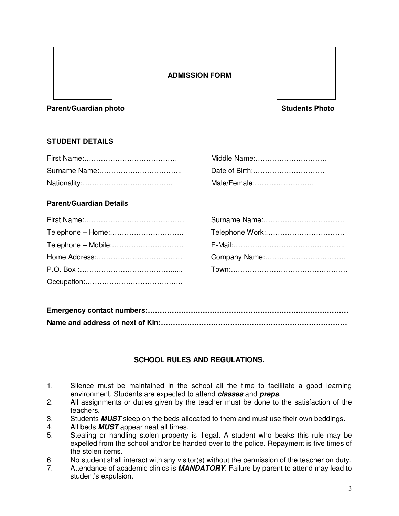

## **ADMISSION FORM**



#### **Parent/Guardian photo Students Photo Students Photo Students Photo**

# **STUDENT DETAILS**

| Middle Name: |
|--------------|
|              |
| Male/Female: |

#### **Parent/Guardian Details**

| Middle Name:   |
|----------------|
| Date of Birth: |
| Male/Female:   |

| Telephone Work: |
|-----------------|
|                 |
| Company Name:   |
|                 |

# **SCHOOL RULES AND REGULATIONS.**

- 1. Silence must be maintained in the school all the time to facilitate a good learning environment. Students are expected to attend **classes** and **preps**.
- 2. All assignments or duties given by the teacher must be done to the satisfaction of the teachers.
- 3. Students **MUST** sleep on the beds allocated to them and must use their own beddings.
- 4. All beds **MUST** appear neat all times.
- 5. Stealing or handling stolen property is illegal. A student who beaks this rule may be expelled from the school and/or be handed over to the police. Repayment is five times of the stolen items.
- 6. No student shall interact with any visitor(s) without the permission of the teacher on duty.
- 7. Attendance of academic clinics is **MANDATORY**. Failure by parent to attend may lead to student's expulsion.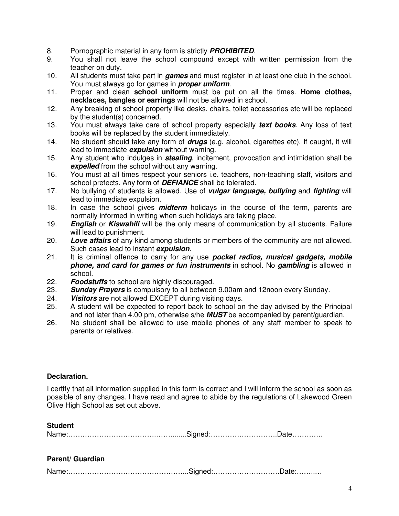- 8. Pornographic material in any form is strictly **PROHIBITED**.
- 9. You shall not leave the school compound except with written permission from the teacher on duty.
- 10. All students must take part in **games** and must register in at least one club in the school. You must always go for games in **proper uniform**.
- 11. Proper and clean **school uniform** must be put on all the times. **Home clothes, necklaces, bangles or earrings** will not be allowed in school.
- 12. Any breaking of school property like desks, chairs, toilet accessories etc will be replaced by the student(s) concerned.
- 13. You must always take care of school property especially **text books**. Any loss of text books will be replaced by the student immediately.
- 14. No student should take any form of **drugs** (e.g. alcohol, cigarettes etc). If caught, it will lead to immediate **expulsion** without warning.
- 15. Any student who indulges in **stealing**, incitement, provocation and intimidation shall be **expelled** from the school without any warning.
- 16. You must at all times respect your seniors i.e. teachers, non-teaching staff, visitors and school prefects. Any form of **DEFIANCE** shall be tolerated.
- 17. No bullying of students is allowed. Use of **vulgar language, bullying** and **fighting** will lead to immediate expulsion.
- 18. In case the school gives **midterm** holidays in the course of the term, parents are normally informed in writing when such holidays are taking place.
- 19. **English** or **Kiswahili** will be the only means of communication by all students. Failure will lead to punishment.
- 20. **Love affairs** of any kind among students or members of the community are not allowed. Such cases lead to instant **expulsion**.
- 21. It is criminal offence to carry for any use **pocket radios, musical gadgets, mobile phone, and card for games or fun instruments** in school. No **gambling** is allowed in school.
- 22. **Foodstuffs** to school are highly discouraged.
- **Sunday Prayers** is compulsory to all between 9.00am and 12noon every Sunday.
- 24. **Visitors** are not allowed EXCEPT during visiting days.
- 25. A student will be expected to report back to school on the day advised by the Principal and not later than 4.00 pm, otherwise s/he **MUST** be accompanied by parent/guardian.
- 26. No student shall be allowed to use mobile phones of any staff member to speak to parents or relatives.

#### **Declaration.**

**Student** 

I certify that all information supplied in this form is correct and I will inform the school as soon as possible of any changes. I have read and agree to abide by the regulations of Lakewood Green Olive High School as set out above.

| Student |  |
|---------|--|
|         |  |
|         |  |

#### **Parent/ Guardian**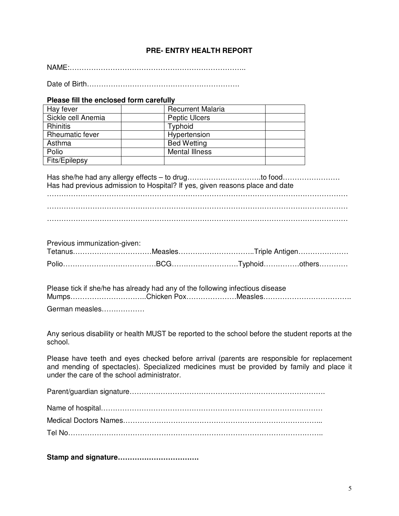#### **PRE- ENTRY HEALTH REPORT**

NAME:………………………………………………………………..

Date of Birth……………………………………………………….

#### **Please fill the enclosed form carefully**

| Hay fever              | <b>Recurrent Malaria</b> |
|------------------------|--------------------------|
| Sickle cell Anemia     | <b>Peptic Ulcers</b>     |
| <b>Rhinitis</b>        | Typhoid                  |
| <b>Rheumatic fever</b> | Hypertension             |
| Asthma                 | <b>Bed Wetting</b>       |
| Polio                  | <b>Mental Illness</b>    |
| Fits/Epilepsy          |                          |

Has she/he had any allergy effects – to drug………………………….to food…………………… Has had previous admission to Hospital? If yes, given reasons place and date ……………………………………………………………………………………………………………… ………………………………………………………………………………………………………………

………………………………………………………………………………………………………………

Previous immunization-given:

|  | TetanusMeaslesTriple Antigen |
|--|------------------------------|
|  |                              |

Please tick if she/he has already had any of the following infectious disease Mumps…………………………..Chicken Pox…………………Measles……………………………….

German measles………………

Any serious disability or health MUST be reported to the school before the student reports at the school.

Please have teeth and eyes checked before arrival (parents are responsible for replacement and mending of spectacles). Specialized medicines must be provided by family and place it under the care of the school administrator.

Parent/guardian signature……………………………………………………………………….

**Stamp and signature…………………………….**